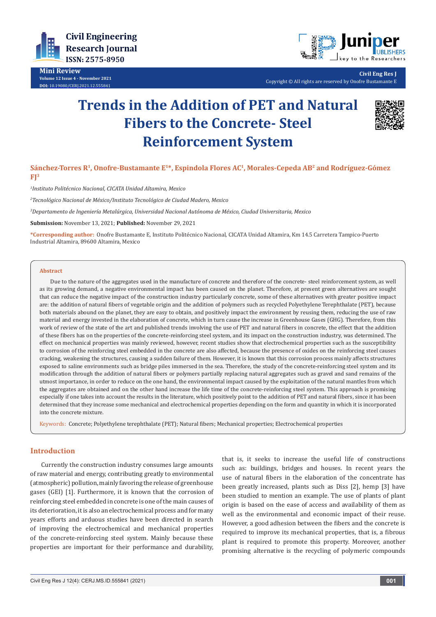

**Mini Review Volume 12 Issue 4 - November 2021 DOI:** [10.19080/CERJ.2021.12.55584](http://dx.doi.org/10.19080/CERJ.2021.12.555841)1



**Civil Eng Res J** Copyright © All rights are reserved by Onofre Bustamante E

# **Trends in the Addition of PET and Natural Fibers to the Concrete- Steel Reinforcement System**



**Sánchez-Torres R1, Onofre-Bustamante E1\*, Espindola Flores AC1, Morales-Cepeda AB2 and Rodríguez-Gómez FJ3**

*1 Instituto Politécnico Nacional, CICATA Unidad Altamira, Mexico*

*2 Tecnológico Nacional de México/Instituto Tecnológico de Ciudad Madero, Mexico*

*3 Departamento de Ingeniería Metalúrgica, Universidad Nacional Autónoma de México, Ciudad Universitaria, Mexico*

**Submission:** November 13, 2021; **Published:** November 29, 2021

**\*Corresponding author:** Onofre Bustamante E, Instituto Politécnico Nacional, CICATA Unidad Altamira, Km 14.5 Carretera Tampico-Puerto Industrial Altamira, 89600 Altamira, Mexico

#### **Abstract**

Due to the nature of the aggregates used in the manufacture of concrete and therefore of the concrete- steel reinforcement system, as well as its growing demand, a negative environmental impact has been caused on the planet. Therefore, at present green alternatives are sought that can reduce the negative impact of the construction industry particularly concrete, some of these alternatives with greater positive impact are: the addition of natural fibers of vegetable origin and the addition of polymers such as recycled Polyethylene Terephthalate (PET), because both materials abound on the planet, they are easy to obtain, and positively impact the environment by reusing them, reducing the use of raw material and energy invested in the elaboration of concrete, which in turn cause the increase in Greenhouse Gases (GHG). Therefore, from this work of review of the state of the art and published trends involving the use of PET and natural fibers in concrete, the effect that the addition of these fibers has on the properties of the concrete-reinforcing steel system, and its impact on the construction industry, was determined. The effect on mechanical properties was mainly reviewed, however, recent studies show that electrochemical properties such as the susceptibility to corrosion of the reinforcing steel embedded in the concrete are also affected, because the presence of oxides on the reinforcing steel causes cracking, weakening the structures, causing a sudden failure of them. However, it is known that this corrosion process mainly affects structures exposed to saline environments such as bridge piles immersed in the sea. Therefore, the study of the concrete-reinforcing steel system and its modification through the addition of natural fibers or polymers partially replacing natural aggregates such as gravel and sand remains of the utmost importance, in order to reduce on the one hand, the environmental impact caused by the exploitation of the natural mantles from which the aggregates are obtained and on the other hand increase the life time of the concrete-reinforcing steel system. This approach is promising especially if one takes into account the results in the literature, which positively point to the addition of PET and natural fibers, since it has been determined that they increase some mechanical and electrochemical properties depending on the form and quantity in which it is incorporated into the concrete mixture.

Keywords: Concrete; Polyethylene terephthalate (PET); Natural fibers; Mechanical properties; Electrochemical properties

# **Introduction**

Currently the construction industry consumes large amounts of raw material and energy, contributing greatly to environmental (atmospheric) pollution, mainly favoring the release of greenhouse gases (GEI) [1]. Furthermore, it is known that the corrosion of reinforcing steel embedded in concrete is one of the main causes of its deterioration, it is also an electrochemical process and for many years efforts and arduous studies have been directed in search of improving the electrochemical and mechanical properties of the concrete-reinforcing steel system. Mainly because these properties are important for their performance and durability,

that is, it seeks to increase the useful life of constructions such as: buildings, bridges and houses. In recent years the use of natural fibers in the elaboration of the concentrate has been greatly increased, plants such as Diss [2], hemp [3] have been studied to mention an example. The use of plants of plant origin is based on the ease of access and availability of them as well as the environmental and economic impact of their reuse. However, a good adhesion between the fibers and the concrete is required to improve its mechanical properties, that is, a fibrous plant is required to promote this property. Moreover, another promising alternative is the recycling of polymeric compounds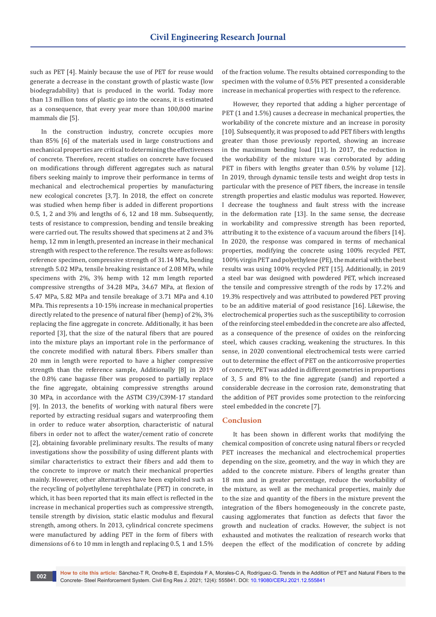such as PET [4]. Mainly because the use of PET for reuse would generate a decrease in the constant growth of plastic waste (low biodegradability) that is produced in the world. Today more than 13 million tons of plastic go into the oceans, it is estimated as a consequence, that every year more than 100,000 marine mammals die [5].

In the construction industry, concrete occupies more than 85% [6] of the materials used in large constructions and mechanical properties are critical to determining the effectiveness of concrete. Therefore, recent studies on concrete have focused on modifications through different aggregates such as natural fibers seeking mainly to improve their performance in terms of mechanical and electrochemical properties by manufacturing new ecological concretes [3,7]. In 2018, the effect on concrete was studied when hemp fiber is added in different proportions 0.5, 1, 2 and 3% and lengths of 6, 12 and 18 mm. Subsequently, tests of resistance to compression, bending and tensile breaking were carried out. The results showed that specimens at 2 and 3% hemp, 12 mm in length, presented an increase in their mechanical strength with respect to the reference. The results were as follows: reference specimen, compressive strength of 31.14 MPa, bending strength 5.02 MPa, tensile breaking resistance of 2.08 MPa, while specimens with 2%, 3% hemp with 12 mm length reported compressive strengths of 34.28 MPa, 34.67 MPa, at flexion of 5.47 MPa, 5.82 MPa and tensile breakage of 3.71 MPa and 4.10 MPa. This represents a 10-15% increase in mechanical properties directly related to the presence of natural fiber (hemp) of 2%, 3% replacing the fine aggregate in concrete. Additionally, it has been reported [3], that the size of the natural fibers that are poured into the mixture plays an important role in the performance of the concrete modified with natural fibers. Fibers smaller than 20 mm in length were reported to have a higher compressive strength than the reference sample, Additionally [8] in 2019 the 0.8% cane bagasse fiber was proposed to partially replace the fine aggregate, obtaining compressive strengths around 30 MPa, in accordance with the ASTM C39/C39M-17 standard [9]. In 2013, the benefits of working with natural fibers were reported by extracting residual sugars and waterproofing them in order to reduce water absorption, characteristic of natural fibers in order not to affect the water/cement ratio of concrete [2], obtaining favorable preliminary results. The results of many investigations show the possibility of using different plants with similar characteristics to extract their fibers and add them to the concrete to improve or match their mechanical properties mainly. However, other alternatives have been exploited such as the recycling of polyethylene terephthalate (PET) in concrete, in which, it has been reported that its main effect is reflected in the increase in mechanical properties such as compressive strength, tensile strength by division, static elastic modulus and flexural strength, among others. In 2013, cylindrical concrete specimens were manufactured by adding PET in the form of fibers with dimensions of 6 to 10 mm in length and replacing 0.5, 1 and 1.5%

of the fraction volume. The results obtained corresponding to the specimen with the volume of 0.5% PET presented a considerable increase in mechanical properties with respect to the reference.

However, they reported that adding a higher percentage of PET (1 and 1.5%) causes a decrease in mechanical properties, the workability of the concrete mixture and an increase in porosity [10]. Subsequently, it was proposed to add PET fibers with lengths greater than those previously reported, showing an increase in the maximum bending load [11]. In 2017, the reduction in the workability of the mixture was corroborated by adding PET in fibers with lengths greater than 0.5% by volume [12]. In 2019, through dynamic tensile tests and weight drop tests in particular with the presence of PET fibers, the increase in tensile strength properties and elastic modulus was reported. However, I decrease the toughness and fault stress with the increase in the deformation rate [13]. In the same sense, the decrease in workability and compressive strength has been reported, attributing it to the existence of a vacuum around the fibers [14]. In 2020, the response was compared in terms of mechanical properties, modifying the concrete using 100% recycled PET, 100% virgin PET and polyethylene (PE), the material with the best results was using 100% recycled PET [15]. Additionally, in 2019 a steel bar was designed with powdered PET, which increased the tensile and compressive strength of the rods by 17.2% and 19.3% respectively and was attributed to powdered PET proving to be an additive material of good resistance [16]. Likewise, the electrochemical properties such as the susceptibility to corrosion of the reinforcing steel embedded in the concrete are also affected, as a consequence of the presence of oxides on the reinforcing steel, which causes cracking, weakening the structures. In this sense, in 2020 conventional electrochemical tests were carried out to determine the effect of PET on the anticorrosive properties of concrete, PET was added in different geometries in proportions of 3, 5 and 8% to the fine aggregate (sand) and reported a considerable decrease in the corrosion rate, demonstrating that the addition of PET provides some protection to the reinforcing steel embedded in the concrete [7].

### **Conclusion**

It has been shown in different works that modifying the chemical composition of concrete using natural fibers or recycled PET increases the mechanical and electrochemical properties depending on the size, geometry, and the way in which they are added to the concrete mixture. Fibers of lengths greater than 18 mm and in greater percentage, reduce the workability of the mixture, as well as the mechanical properties, mainly due to the size and quantity of the fibers in the mixture prevent the integration of the fibers homogeneously in the concrete paste, causing agglomerates that function as defects that favor the growth and nucleation of cracks. However, the subject is not exhausted and motivates the realization of research works that deepen the effect of the modification of concrete by adding